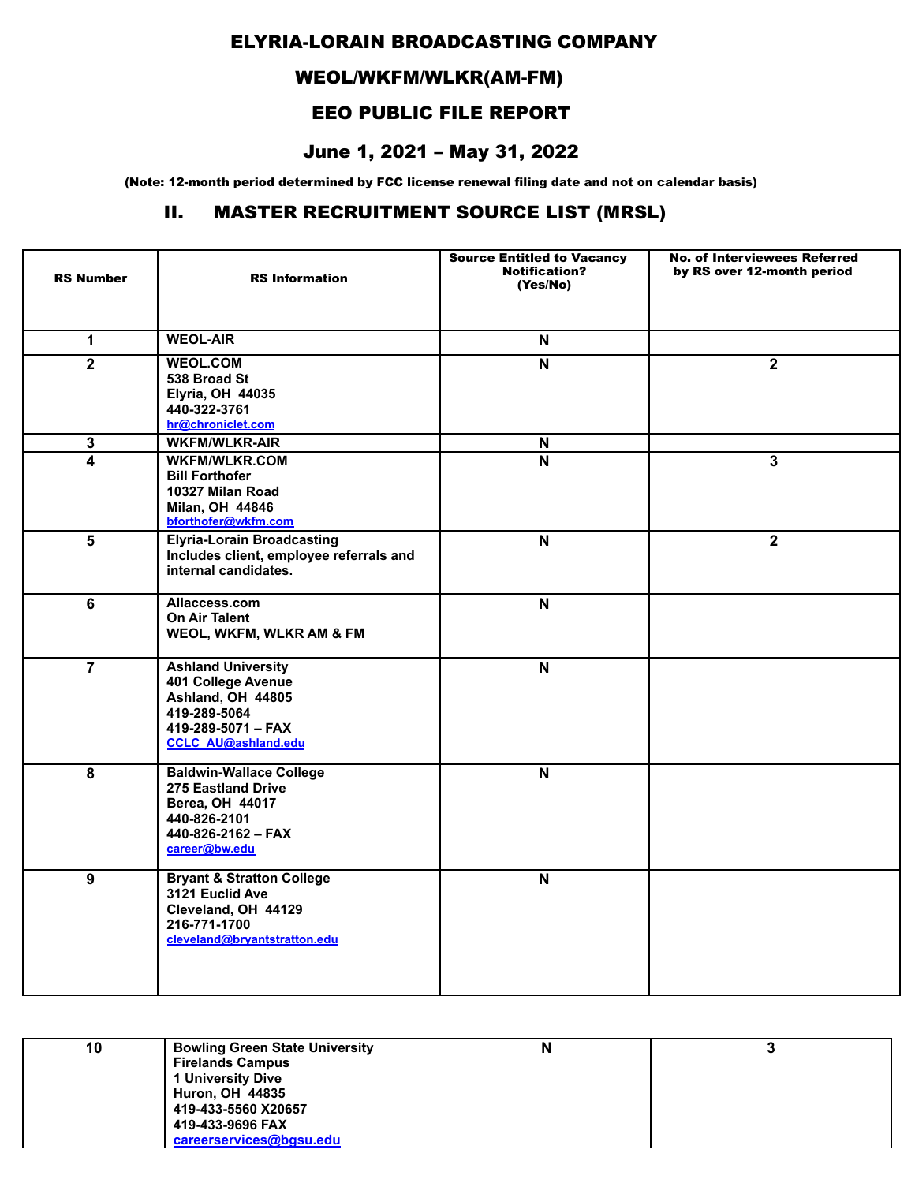### ELYRIA-LORAIN BROADCASTING COMPANY

# WEOL/WKFM/WLKR(AM-FM)

## EEO PUBLIC FILE REPORT

### June 1, 2021 – May 31, 2022

(Note: 12-month period determined by FCC license renewal filing date and not on calendar basis)

### II. MASTER RECRUITMENT SOURCE LIST (MRSL)

| <b>RS Number</b>        | <b>RS</b> Information                                                                                                                    | <b>Source Entitled to Vacancy</b><br><b>Notification?</b><br>(Yes/No) | <b>No. of Interviewees Referred</b><br>by RS over 12-month period |
|-------------------------|------------------------------------------------------------------------------------------------------------------------------------------|-----------------------------------------------------------------------|-------------------------------------------------------------------|
| $\mathbf{1}$            | <b>WEOL-AIR</b>                                                                                                                          | $\boldsymbol{\mathsf{N}}$                                             |                                                                   |
| $\mathbf{2}$            | <b>WEOL.COM</b><br>538 Broad St<br><b>Elyria, OH 44035</b><br>440-322-3761<br>hr@chroniclet.com                                          | $\mathbf N$                                                           | $\overline{\mathbf{2}}$                                           |
| $\mathbf{3}$            | <b>WKFM/WLKR-AIR</b>                                                                                                                     | N                                                                     |                                                                   |
| $\overline{\mathbf{4}}$ | <b>WKFM/WLKR.COM</b><br><b>Bill Forthofer</b><br>10327 Milan Road<br>Milan, OH 44846<br>bforthofer@wkfm.com                              | $\mathsf{N}$                                                          | $\mathbf{3}$                                                      |
| $5\phantom{.0}$         | <b>Elyria-Lorain Broadcasting</b><br>Includes client, employee referrals and<br>internal candidates.                                     | $\mathsf{N}$                                                          | $\mathbf{2}$                                                      |
| 6                       | Allaccess.com<br><b>On Air Talent</b><br>WEOL, WKFM, WLKR AM & FM                                                                        | $\mathbf N$                                                           |                                                                   |
| $\overline{7}$          | <b>Ashland University</b><br>401 College Avenue<br>Ashland, OH 44805<br>419-289-5064<br>419-289-5071 - FAX<br><b>CCLC AU@ashland.edu</b> | N                                                                     |                                                                   |
| $\overline{\mathbf{8}}$ | <b>Baldwin-Wallace College</b><br>275 Eastland Drive<br>Berea, OH 44017<br>440-826-2101<br>$440 - 826 - 2162 - FAX$<br>career@bw.edu     | $\overline{\mathsf{N}}$                                               |                                                                   |
| $\overline{9}$          | <b>Bryant &amp; Stratton College</b><br>3121 Euclid Ave<br>Cleveland, OH 44129<br>216-771-1700<br>cleveland@brvantstratton.edu           | $\overline{\mathsf{N}}$                                               |                                                                   |

| 10 | <b>Bowling Green State University</b> | N |  |
|----|---------------------------------------|---|--|
|    | <b>Firelands Campus</b>               |   |  |
|    | <b>University Dive</b>                |   |  |
|    | <b>Huron, OH 44835</b>                |   |  |
|    | 419-433-5560 X20657                   |   |  |
|    | 419-433-9696 FAX                      |   |  |
|    | careerservices@bgsu.edu               |   |  |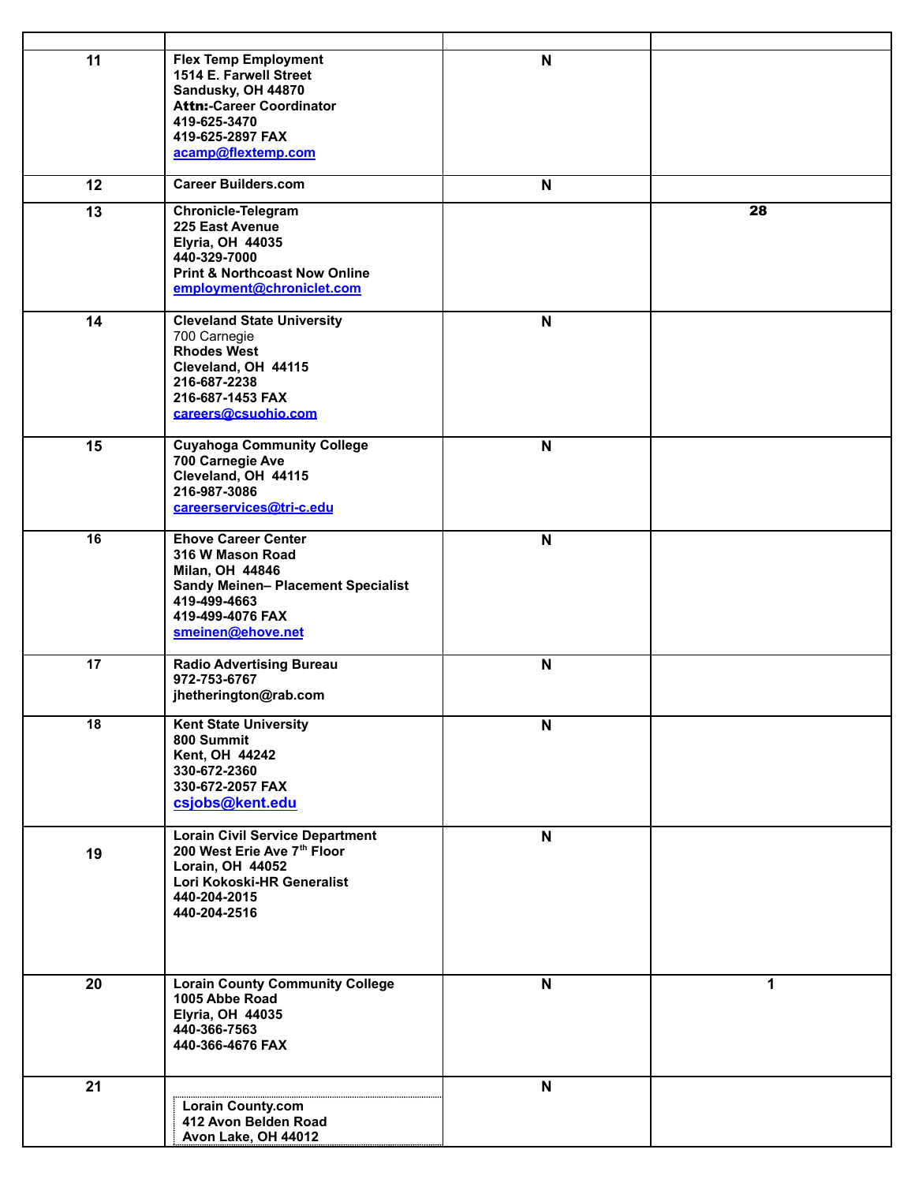| 11 | <b>Flex Temp Employment</b><br>1514 E. Farwell Street<br>Sandusky, OH 44870<br><b>Attn:-Career Coordinator</b><br>419-625-3470<br>419-625-2897 FAX<br>acamp@flextemp.com | $\mathsf{N}$              |    |
|----|--------------------------------------------------------------------------------------------------------------------------------------------------------------------------|---------------------------|----|
| 12 | <b>Career Builders.com</b>                                                                                                                                               | N                         |    |
| 13 | <b>Chronicle-Telegram</b><br>225 East Avenue<br><b>Elyria, OH 44035</b><br>440-329-7000<br><b>Print &amp; Northcoast Now Online</b><br>employment@chroniclet.com         |                           | 28 |
| 14 | <b>Cleveland State University</b><br>700 Carnegie<br><b>Rhodes West</b><br>Cleveland, OH 44115<br>216-687-2238<br>216-687-1453 FAX<br>careers@csuohio.com                | $\mathsf{N}$              |    |
| 15 | <b>Cuyahoga Community College</b><br>700 Carnegie Ave<br>Cleveland, OH 44115<br>216-987-3086<br>careerservices@tri-c.edu                                                 | $\boldsymbol{\mathsf{N}}$ |    |
| 16 | <b>Ehove Career Center</b><br>316 W Mason Road<br>Milan, OH 44846<br><b>Sandy Meinen- Placement Specialist</b><br>419-499-4663<br>419-499-4076 FAX<br>smeinen@ehove.net  | N                         |    |
| 17 | <b>Radio Advertising Bureau</b><br>972-753-6767<br>jhetherington@rab.com                                                                                                 | $\mathsf{N}$              |    |
| 18 | <b>Kent State University</b><br>800 Summit<br>Kent, OH 44242<br>330-672-2360<br>330-672-2057 FAX<br>csjobs@kent.edu                                                      | N                         |    |
| 19 | <b>Lorain Civil Service Department</b><br>200 West Erie Ave 7th Floor<br>Lorain, OH 44052<br>Lori Kokoski-HR Generalist<br>440-204-2015<br>440-204-2516                  | N                         |    |
| 20 | <b>Lorain County Community College</b><br>1005 Abbe Road<br><b>Elyria, OH 44035</b><br>440-366-7563<br>440-366-4676 FAX                                                  | $\mathsf{N}$              | 1  |
| 21 | <b>Lorain County.com</b><br>412 Avon Belden Road<br>Avon Lake, OH 44012                                                                                                  | N                         |    |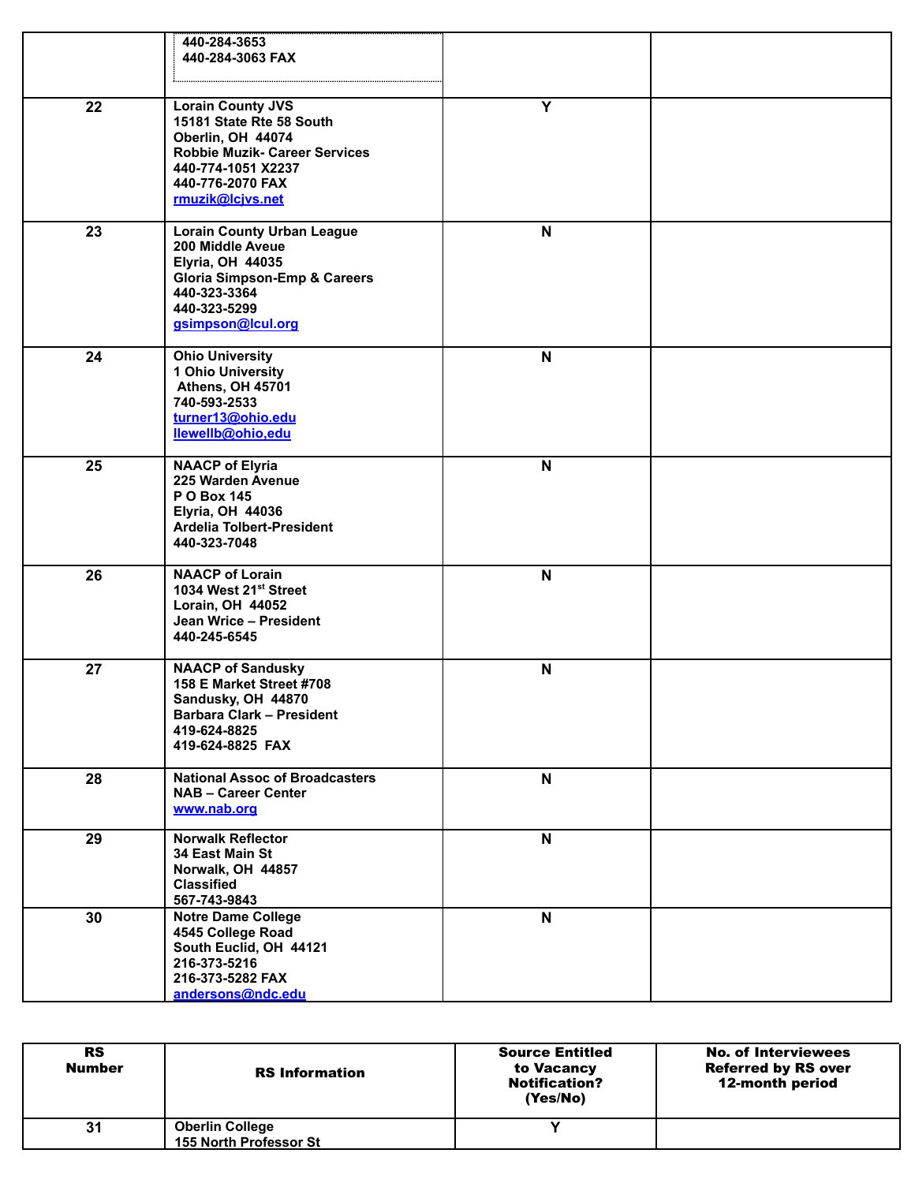|    | 440-284-3653<br>440-284-3063 FAX                                                                                                                                                 |              |  |
|----|----------------------------------------------------------------------------------------------------------------------------------------------------------------------------------|--------------|--|
| 22 | <b>Lorain County JVS</b><br>15181 State Rte 58 South<br>Oberlin, OH 44074<br><b>Robbie Muzik- Career Services</b><br>440-774-1051 X2237<br>440-776-2070 FAX<br>rmuzik@lcjvs.net  | Y            |  |
| 23 | <b>Lorain County Urban League</b><br>200 Middle Aveue<br><b>Elyria, OH 44035</b><br><b>Gloria Simpson-Emp &amp; Careers</b><br>440-323-3364<br>440-323-5299<br>gsimpson@lcul.org | $\mathbf N$  |  |
| 24 | <b>Ohio University</b><br>1 Ohio University<br>Athens, OH 45701<br>740-593-2533<br>turner13@ohio.edu<br>llewellb@ohio,edu                                                        | N            |  |
| 25 | <b>NAACP of Elyria</b><br>225 Warden Avenue<br><b>PO Box 145</b><br><b>Elyria, OH 44036</b><br>Ardelia Tolbert-President<br>440-323-7048                                         | N            |  |
| 26 | <b>NAACP of Lorain</b><br>1034 West 21st Street<br>Lorain, OH 44052<br>Jean Wrice - President<br>440-245-6545                                                                    | N            |  |
| 27 | <b>NAACP of Sandusky</b><br>158 E Market Street #708<br>Sandusky, OH 44870<br><b>Barbara Clark - President</b><br>419-624-8825<br>419-624-8825 FAX                               | N            |  |
| 28 | <b>National Assoc of Broadcasters</b><br><b>NAB - Career Center</b><br>www.nab.org                                                                                               | $\mathbf N$  |  |
| 29 | <b>Norwalk Reflector</b><br>34 East Main St<br>Norwalk, OH 44857<br><b>Classified</b><br>567-743-9843                                                                            | $\mathsf{N}$ |  |
| 30 | <b>Notre Dame College</b><br>4545 College Road<br>South Euclid, OH 44121<br>216-373-5216<br>216-373-5282 FAX<br>andersons@ndc.edu                                                | N            |  |

| <b>RS</b><br><b>Number</b> | <b>RS</b> Information  | <b>Source Entitled</b><br>to Vacancy<br><b>Notification?</b><br>(Yes/No) | <b>No. of Interviewees</b><br><b>Referred by RS over</b><br>12-month period |
|----------------------------|------------------------|--------------------------------------------------------------------------|-----------------------------------------------------------------------------|
| 31                         | <b>Oberlin College</b> |                                                                          |                                                                             |
|                            | 155 North Professor St |                                                                          |                                                                             |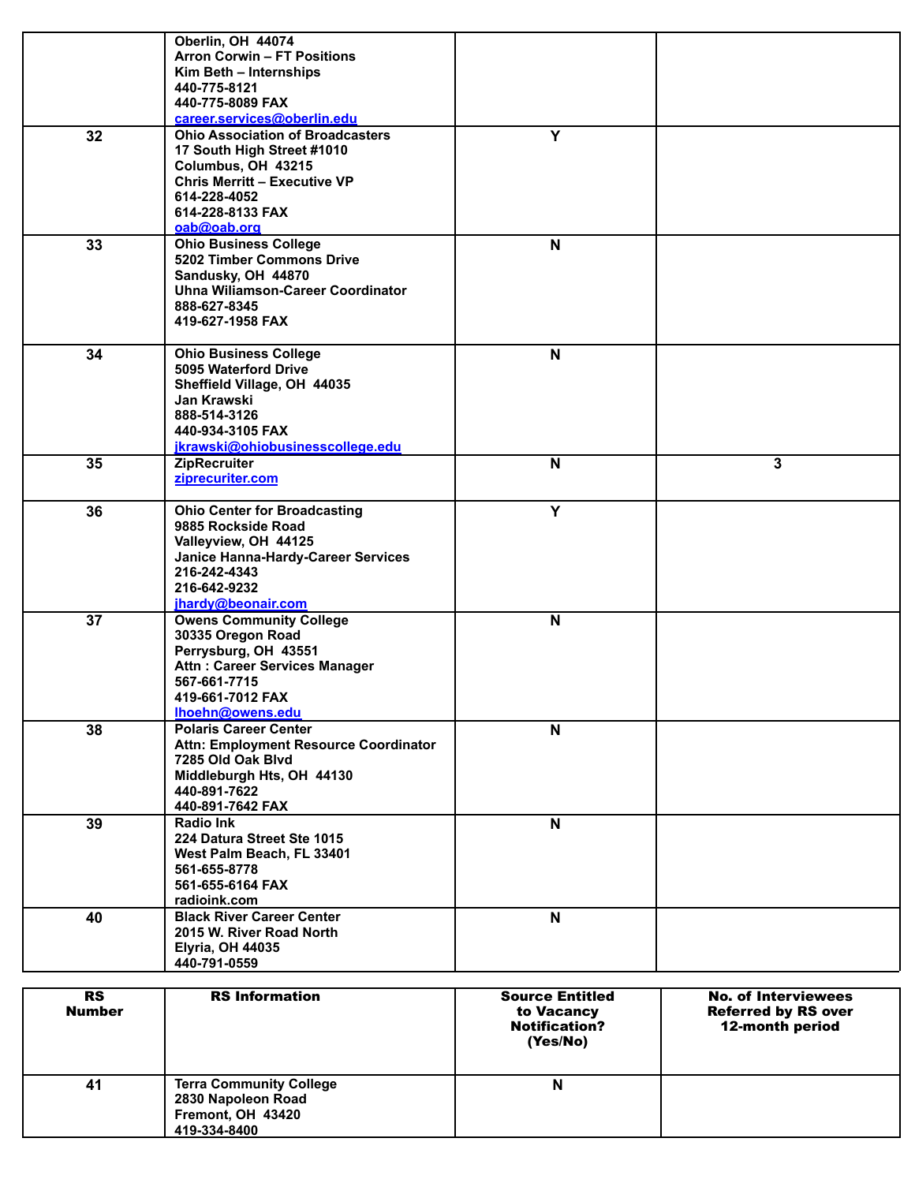|    | Oberlin, OH 44074                           |             |   |
|----|---------------------------------------------|-------------|---|
|    | <b>Arron Corwin - FT Positions</b>          |             |   |
|    | Kim Beth - Internships<br>440-775-8121      |             |   |
|    | 440-775-8089 FAX                            |             |   |
|    | career.services@oberlin.edu                 |             |   |
| 32 | <b>Ohio Association of Broadcasters</b>     | Y           |   |
|    | 17 South High Street #1010                  |             |   |
|    | Columbus, OH 43215                          |             |   |
|    | <b>Chris Merritt - Executive VP</b>         |             |   |
|    | 614-228-4052                                |             |   |
|    | 614-228-8133 FAX                            |             |   |
| 33 | oab@oab.org<br><b>Ohio Business College</b> | $\mathbf N$ |   |
|    | 5202 Timber Commons Drive                   |             |   |
|    | Sandusky, OH 44870                          |             |   |
|    | Uhna Wiliamson-Career Coordinator           |             |   |
|    | 888-627-8345                                |             |   |
|    | 419-627-1958 FAX                            |             |   |
|    | <b>Ohio Business College</b>                |             |   |
| 34 | 5095 Waterford Drive                        | $\mathbf N$ |   |
|    | Sheffield Village, OH 44035                 |             |   |
|    | Jan Krawski                                 |             |   |
|    | 888-514-3126                                |             |   |
|    | 440-934-3105 FAX                            |             |   |
|    | jkrawski@ohiobusinesscollege.edu            |             |   |
| 35 | <b>ZipRecruiter</b>                         | $\mathbf N$ | 3 |
|    | ziprecuriter.com                            |             |   |
| 36 | <b>Ohio Center for Broadcasting</b>         | Y           |   |
|    | 9885 Rockside Road                          |             |   |
|    | Valleyview, OH 44125                        |             |   |
|    | Janice Hanna-Hardy-Career Services          |             |   |
|    | 216-242-4343                                |             |   |
|    | 216-642-9232                                |             |   |
|    | jhardy@beonair.com                          |             |   |
| 37 | <b>Owens Community College</b>              | $\mathbf N$ |   |
|    | 30335 Oregon Road<br>Perrysburg, OH 43551   |             |   |
|    | Attn: Career Services Manager               |             |   |
|    | 567-661-7715                                |             |   |
|    | 419-661-7012 FAX                            |             |   |
|    | Ihoehn@owens.edu                            |             |   |
| 38 | <b>Polaris Career Center</b>                | N           |   |
|    | Attn: Employment Resource Coordinator       |             |   |
|    | 7285 Old Oak Blvd                           |             |   |
|    | Middleburgh Hts, OH 44130                   |             |   |
|    | 440-891-7622<br>440-891-7642 FAX            |             |   |
| 39 | Radio Ink                                   | N           |   |
|    | 224 Datura Street Ste 1015                  |             |   |
|    | West Palm Beach, FL 33401                   |             |   |
|    | 561-655-8778                                |             |   |
|    | 561-655-6164 FAX                            |             |   |
|    | radioink.com                                |             |   |
| 40 | <b>Black River Career Center</b>            | $\mathbf N$ |   |
|    | 2015 W. River Road North                    |             |   |
|    | <b>Elyria, OH 44035</b>                     |             |   |
|    | 440-791-0559                                |             |   |

| <b>RS</b><br><b>Number</b> | <b>RS</b> Information                                                                     | <b>Source Entitled</b><br>to Vacancy<br><b>Notification?</b><br>(Yes/No) | <b>No. of Interviewees</b><br><b>Referred by RS over</b><br>12-month period |
|----------------------------|-------------------------------------------------------------------------------------------|--------------------------------------------------------------------------|-----------------------------------------------------------------------------|
| 41                         | <b>Terra Community College</b><br>2830 Napoleon Road<br>Fremont, OH 43420<br>419-334-8400 | N                                                                        |                                                                             |